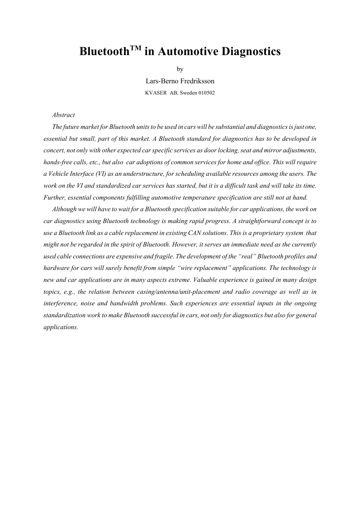# **BluetoothTM in Automotive Diagnostics**

by

Lars-Berno Fredriksson KVASER AB, Sweden 010502

#### *Abstract*

*The future market for Bluetooth units to be used in cars will be substantial and diagnostics is just one, essential but small, part of this market. A Bluetooth standard for diagnostics has to be developed in concert, not only with other expected car specific services as door locking, seat and mirror adjustments, hands-free calls, etc., but also car adoptions of common services for home and office. This will require a Vehicle Interface (VI) as an understructure, for scheduling available resources among the users. The work on the VI and standardized car services has started, but it is a difficult task and will take its time. Further, essential components fulfilling automotive temperature specification are still not at hand.*

*Although we will have to wait for a Bluetooth specification suitable for car applications, the work on car diagnostics using Bluetooth technology is making rapid progress. A straightforward concept is to use a Bluetooth link as a cable replacement in existing CAN solutions. This is a proprietary system that might not be regarded in the spirit of Bluetooth. However, it serves an immediate need as the currently used cable connections are expensive and fragile. The development of the "real" Bluetooth profiles and hardware for cars will surely benefit from simple "wire replacement" applications. The technology is new and car applications are in many aspects extreme. Valuable experience is gained in many design topics, e.g., the relation between casing/antenna/unit-placement and radio coverage as well as in interference, noise and bandwidth problems. Such experiences are essential inputs in the ongoing standardization work to make Bluetooth successful in cars, not only for diagnostics but also for general applications.*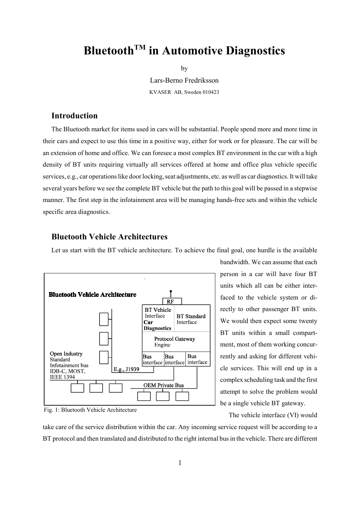## **BluetoothTM in Automotive Diagnostics**

by

Lars-Berno Fredriksson KVASER AB, Sweden 010423

## **Introduction**

The Bluetooth market for items used in cars will be substantial. People spend more and more time in their cars and expect to use this time in a positive way, either for work or for pleasure. The car will be an extension of home and office. We can foresee a most complex BT environment in the car with a high density of BT units requiring virtually all services offered at home and office plus vehicle specific services, e.g., car operations like door locking, seat adjustments, etc. as well as car diagnostics. It will take several years before we see the complete BT vehicle but the path to this goal will be passed in a stepwise manner. The first step in the infotainment area will be managing hands-free sets and within the vehicle specific area diagnostics.

## **Bluetooth Vehicle Architectures**

Let us start with the BT vehicle architecture. To achieve the final goal, one hurdle is the available



Fig. 1: Bluetooth Vehicle Architecture

bandwidth. We can assume that each person in a car will have four BT units which all can be either interfaced to the vehicle system or directly to other passenger BT units. We would then expect some twenty BT units within a small compartment, most of them working concurrently and asking for different vehicle services. This will end up in a complex scheduling task and the first attempt to solve the problem would be a single vehicle BT gateway.

The vehicle interface (VI) would

take care of the service distribution within the car. Any incoming service request will be according to a BT protocol and then translated and distributed to the right internal bus in the vehicle. There are different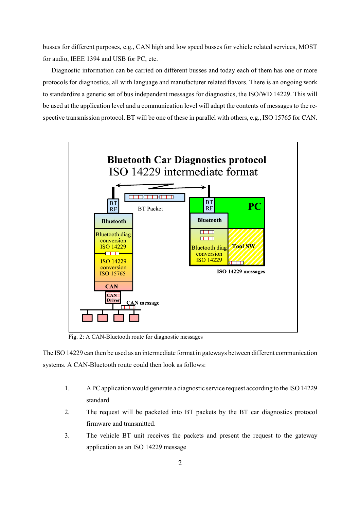busses for different purposes, e.g., CAN high and low speed busses for vehicle related services, MOST for audio, IEEE 1394 and USB for PC, etc.

Diagnostic information can be carried on different busses and today each of them has one or more protocols for diagnostics, all with language and manufacturer related flavors. There is an ongoing work to standardize a generic set of bus independent messages for diagnostics, the ISO/WD 14229. This will be used at the application level and a communication level will adapt the contents of messages to the respective transmission protocol. BT will be one of these in parallel with others, e.g., ISO 15765 for CAN.



Fig. 2: A CAN-Bluetooth route for diagnostic messages

The ISO 14229 can then be used as an intermediate format in gateways between different communication systems. A CAN-Bluetooth route could then look as follows:

- 1. A PC application would generate a diagnostic service request according to the ISO 14229 standard
- 2. The request will be packeted into BT packets by the BT car diagnostics protocol firmware and transmitted.
- 3. The vehicle BT unit receives the packets and present the request to the gateway application as an ISO 14229 message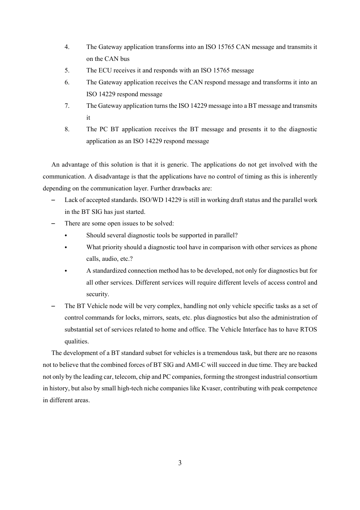- 4. The Gateway application transforms into an ISO 15765 CAN message and transmits it on the CAN bus
- 5. The ECU receives it and responds with an ISO 15765 message
- 6. The Gateway application receives the CAN respond message and transforms it into an ISO 14229 respond message
- 7. The Gateway application turns the ISO 14229 message into a BT message and transmits it
- 8. The PC BT application receives the BT message and presents it to the diagnostic application as an ISO 14229 respond message

An advantage of this solution is that it is generic. The applications do not get involved with the communication. A disadvantage is that the applications have no control of timing as this is inherently depending on the communication layer. Further drawbacks are:

- Lack of accepted standards. ISO/WD 14229 is still in working draft status and the parallel work in the BT SIG has just started.
- There are some open issues to be solved:
	- Should several diagnostic tools be supported in parallel?
	- What priority should a diagnostic tool have in comparison with other services as phone calls, audio, etc.?
	- A standardized connection method has to be developed, not only for diagnostics but for all other services. Different services will require different levels of access control and security.
- The BT Vehicle node will be very complex, handling not only vehicle specific tasks as a set of control commands for locks, mirrors, seats, etc. plus diagnostics but also the administration of substantial set of services related to home and office. The Vehicle Interface has to have RTOS qualities.

The development of a BT standard subset for vehicles is a tremendous task, but there are no reasons not to believe that the combined forces of BT SIG and AMI-C will succeed in due time. They are backed not only by the leading car, telecom, chip and PC companies, forming the strongest industrial consortium in history, but also by small high-tech niche companies like Kvaser, contributing with peak competence in different areas.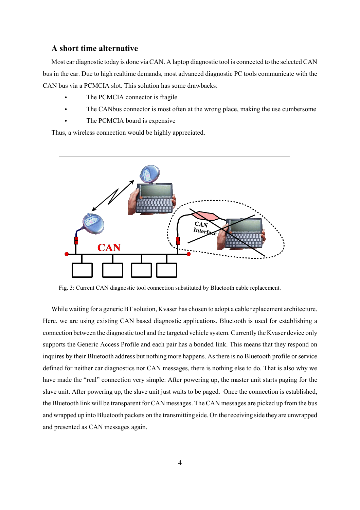### **A short time alternative**

Most car diagnostic today is done via CAN. A laptop diagnostic tool is connected to the selected CAN bus in the car. Due to high realtime demands, most advanced diagnostic PC tools communicate with the CAN bus via a PCMCIA slot. This solution has some drawbacks:

- The PCMCIA connector is fragile
- The CANbus connector is most often at the wrong place, making the use cumbersome
- The PCMCIA board is expensive

Thus, a wireless connection would be highly appreciated.



Fig. 3: Current CAN diagnostic tool connection substituted by Bluetooth cable replacement.

While waiting for a generic BT solution, Kvaser has chosen to adopt a cable replacement architecture. Here, we are using existing CAN based diagnostic applications. Bluetooth is used for establishing a connection between the diagnostic tool and the targeted vehicle system. Currently the Kvaser device only supports the Generic Access Profile and each pair has a bonded link. This means that they respond on inquires by their Bluetooth address but nothing more happens. As there is no Bluetooth profile or service defined for neither car diagnostics nor CAN messages, there is nothing else to do. That is also why we have made the "real" connection very simple: After powering up, the master unit starts paging for the slave unit. After powering up, the slave unit just waits to be paged. Once the connection is established, the Bluetooth link will be transparent for CAN messages. The CAN messages are picked up from the bus and wrapped up into Bluetooth packets on the transmitting side. On the receiving side they are unwrapped and presented as CAN messages again.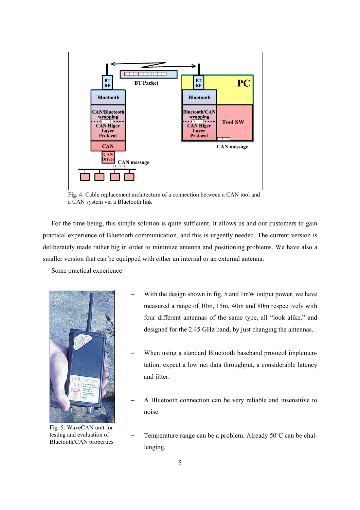

Fig. 4: Cable replacement architecture of a connection between a CAN tool and a CAN system via a Bluetooth link

For the time being, this simple solution is quite sufficient. It allows us and our customers to gain practical experience of Bluetooth communication, and this is urgently needed. The current version is deliberately made rather big in order to minimize antenna and positioning problems. We have also a smaller version that can be equipped with either an internal or an external antenna.

Some practical experience:



Fig. 5: WaveCAN unit for testing and evaluation of Bluetooth/CAN properties

- With the design shown in fig. 5 and 1mW output power, we have measured a range of 10m, 15m, 40m and 80m respectively with four different antennas of the same type, all "look alike," and designed for the 2.45 GHz band, by just changing the antennas.
- When using a standard Bluetooth baseband protocol implementation, expect a low net data throughput, a considerable latency and jitter.
- A Bluetooth connection can be very reliable and insensitive to noise.
- Temperature range can be a problem. Already 50°C can be challenging.